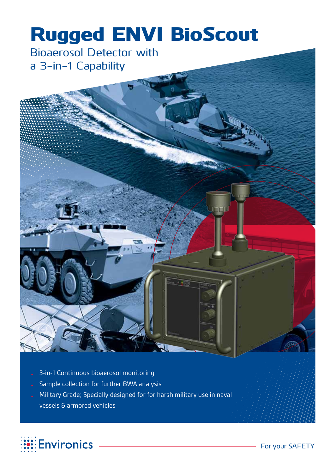# Rugged ENVI BioScout

Bioaerosol Detector with a 3-in-1 Capability



- Sample collection for further BWA analysis
- Military Grade; Specially designed for for harsh military use in naval vessels & armored vehicles

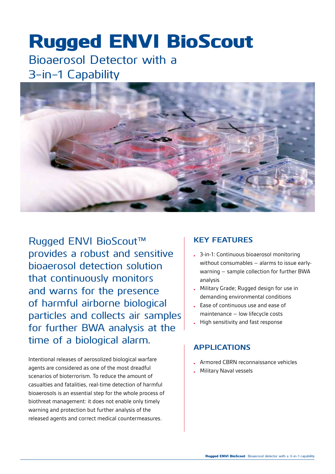## Rugged ENVI BioScout

### Bioaerosol Detector with a 3-in-1 Capability



Rugged ENVI BioScout™ provides a robust and sensitive bioaerosol detection solution that continuously monitors and warns for the presence of harmful airborne biological particles and collects air samples for further BWA analysis at the time of a biological alarm.

Intentional releases of aerosolized biological warfare agents are considered as one of the most dreadful scenarios of bioterrorism. To reduce the amount of casualties and fatalities, real-time detection of harmful bioaerosols is an essential step for the whole process of biothreat management: it does not enable only timely warning and protection but further analysis of the released agents and correct medical countermeasures.

#### **Key features**

- 3-in-1: Continuous bioaerosol monitoring without consumables – alarms to issue earlywarning – sample collection for further BWA analysis
- Military Grade; Rugged design for use in demanding environmental conditions
- Ease of continuous use and ease of maintenance – low lifecycle costs
- High sensitivity and fast response

#### **APPLICATIONS**

- Armored CBRN reconnaissance vehicles
- Military Naval vessels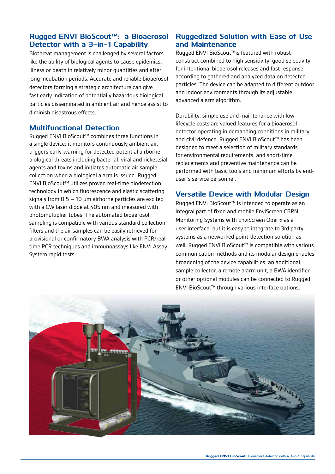#### **Rugged ENVI BioScout™: a Bioaerosol Detector with a 3-in-1 Capability**

Biothreat management is challenged by several factors like the ability of biological agents to cause epidemics, illness or death in relatively minor quantities and after long incubation periods. Accurate and reliable bioaerosol detectors forming a strategic architecture can give fast early indication of potentially hazardous biological particles disseminated in ambient air and hence assist to diminish disastrous effects.

#### **Multifunctional Detection**

Rugged ENVI BioScout™ combines three functions in a single device: it monitors continuously ambient air, triggers early-warning for detected potential airborne biological threats including bacterial, viral and rickettsial agents and toxins and initiates automatic air sample collection when a biological alarm is issued. Rugged ENVI BioScout™ utilizes proven real-time biodetection technology in which fluorescence and elastic scattering signals from  $0.5 - 10$  µm airborne particles are excited with a CW laser diode at 405 nm and measured with photomultiplier tubes. The automated bioaerosol sampling is compatible with various standard collection filters and the air samples can be easily retrieved for provisional or confirmatory BWA analysis with PCR/realtime PCR techniques and immunoassays like ENVI Assay System rapid tests.

#### **Ruggedized Solution with Ease of Use and Maintenance**

Rugged ENVI BioScout™is featured with robust construct combined to high sensitivity, good selectivity for intentional bioaerosol releases and fast response according to gathered and analyzed data on detected particles. The device can be adapted to different outdoor and indoor environments through its adjustable, advanced alarm algorithm.

Durability, simple use and maintenance with low lifecycle costs are valued features for a bioaerosol detector operating in demanding conditions in military and civil defence. Rugged ENVI BioScout™ has been designed to meet a selection of military standards for environmental requirements, and short-time replacements and preventive maintenance can be performed with basic tools and minimum efforts by enduser`s service personnel.

#### **Versatile Device with Modular Design**

Rugged ENVI BioScout™ is intended to operate as an integral part of fixed and mobile EnviScreen CBRN Monitoring Systems with EnviScreen Operix as a user interface, but it is easy to integrate to 3rd party systems as a networked point-detection solution as well. Rugged ENVI BioScout™ is compatible with various communication methods and its modular design enables broadening of the device capabilities: an additional sample collector, a remote alarm unit, a BWA identifier or other optional modules can be connected to Rugged ENVI BioScout™ through various interface options.